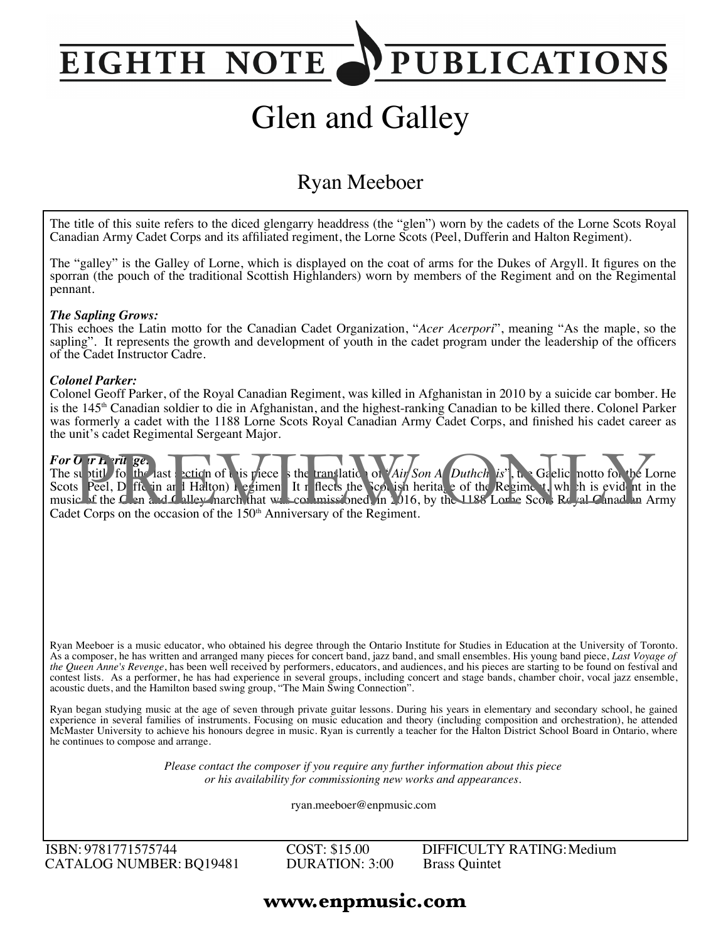## **PUBLICATIONS EIGHTH NOTE**

# Glen and Galley

## Ryan Meeboer

The title of this suite refers to the diced glengarry headdress (the "glen") worn by the cadets of the Lorne Scots Royal Canadian Army Cadet Corps and its affiliated regiment, the Lorne Scots (Peel, Dufferin and Halton Regiment).

The "galley" is the Galley of Lorne, which is displayed on the coat of arms for the Dukes of Argyll. It figures on the sporran (the pouch of the traditional Scottish Highlanders) worn by members of the Regiment and on the Regimental pennant.

#### *The Sapling Grows:*

This echoes the Latin motto for the Canadian Cadet Organization, "*Acer Acerpori*", meaning "As the maple, so the sapling". It represents the growth and development of youth in the cadet program under the leadership of the officers of the Cadet Instructor Cadre.

#### *Colonel Parker:*

Colonel Geoff Parker, of the Royal Canadian Regiment, was killed in Afghanistan in 2010 by a suicide car bomber. He is the 145<sup>th</sup> Canadian soldier to die in Afghanistan, and the highest-ranking Canadian to be killed there. Colonel Parker was formerly a cadet with the 1188 Lorne Scots Royal Canadian Army Cadet Corps, and finished his cadet career as the unit's cadet Regimental Sergeant Major.

*For Our Heritage:* The subtitle for the last section of this piece is the translation of *Air Son Ar Duthchais*", the Gaelic motto for the Lorne Scots (Peel, D fferin and Halton) Regiment. It reflects the Scottish heritage of the Regiment, which is evident in the musich of the Glen and Galley march that was commissioned, in 2016, by the 1188 Lorne Scots Royal Canadian Army Cadet Corps on the occasion of the  $150<sup>th</sup>$  Anniversary of the Regiment. O The rid ge.<br>
Solution of the last extit of the state of the contract of the contract of the Last extends to the Last of the Regime 1, which is evident in<br>
Solution of the Last telectric of the Can and Calley hard that w

Ryan Meeboer is a music educator, who obtained his degree through the Ontario Institute for Studies in Education at the University of Toronto. As a composer, he has written and arranged many pieces for concert band, jazz band, and small ensembles. His young band piece, *Last Voyage of the Queen Anne's Revenge*, has been well received by performers, educators, and audiences, and his pieces are starting to be found on festival and contest lists. As a performer, he has had experience in several groups, including concert and stage bands, chamber choir, vocal jazz ensemble, acoustic duets, and the Hamilton based swing group, "The Main Swing Connection".

Ryan began studying music at the age of seven through private guitar lessons. During his years in elementary and secondary school, he gained experience in several families of instruments. Focusing on music education and theory (including composition and orchestration), he attended McMaster University to achieve his honours degree in music. Ryan is currently a teacher for the Halton District School Board in Ontario, where he continues to compose and arrange.

> *Please contact the composer if you require any further information about this piece or his availability for commissioning new works and appearances.*

> > ryan.meeboer@enpmusic.com

COST: \$15.00

ISBN: 9781771575744 CATALOG NUMBER:BQ19481 DURATION: 3:00 DIFFICULTY RATING:Medium Brass Quintet

## **www.enpmusic.com**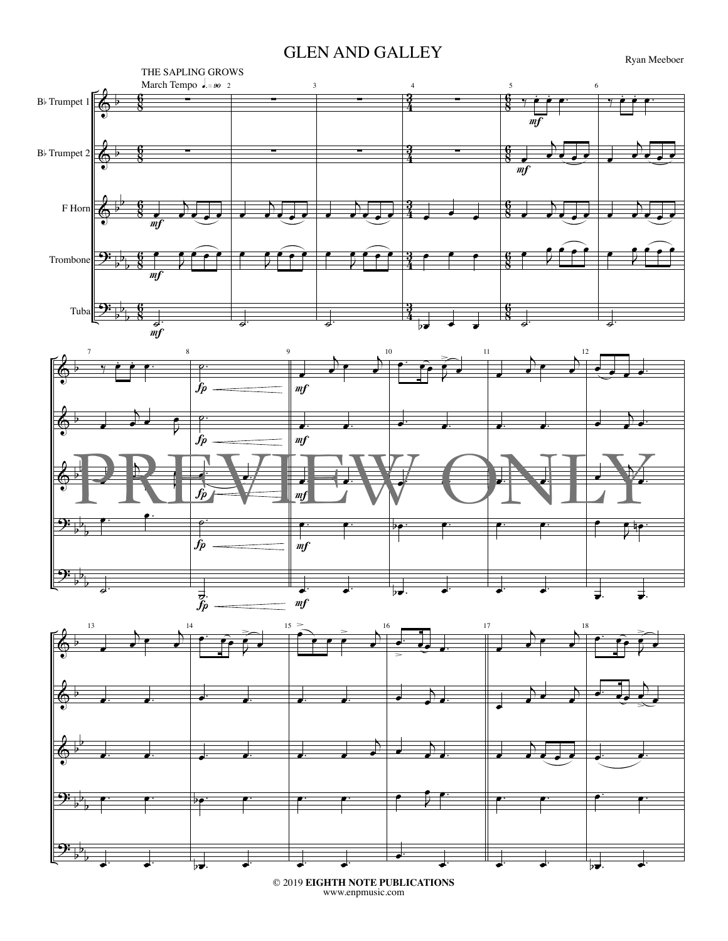### **GLEN AND GALLEY**



 $@2019 \textbf{ EIGHTH NOTE PUBLICATIONS}\\ \text{www.enpmusic.com}$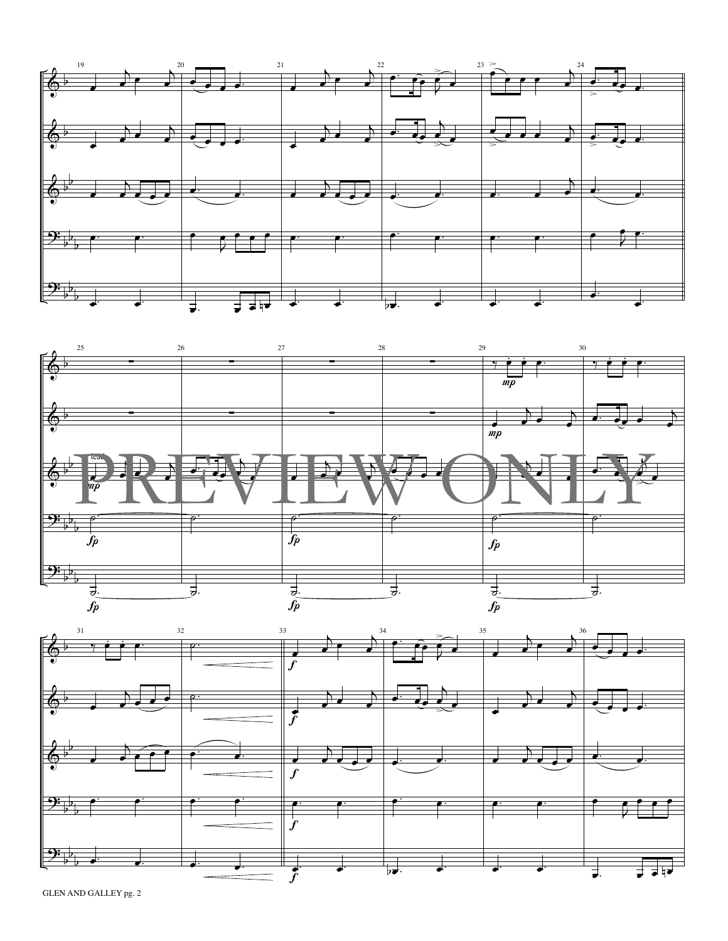



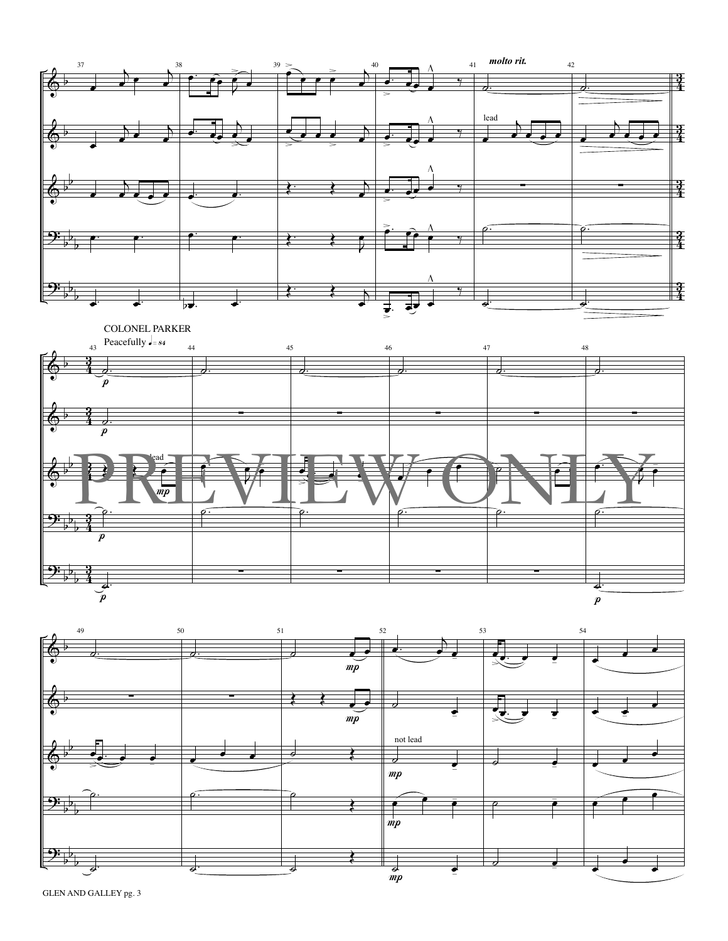



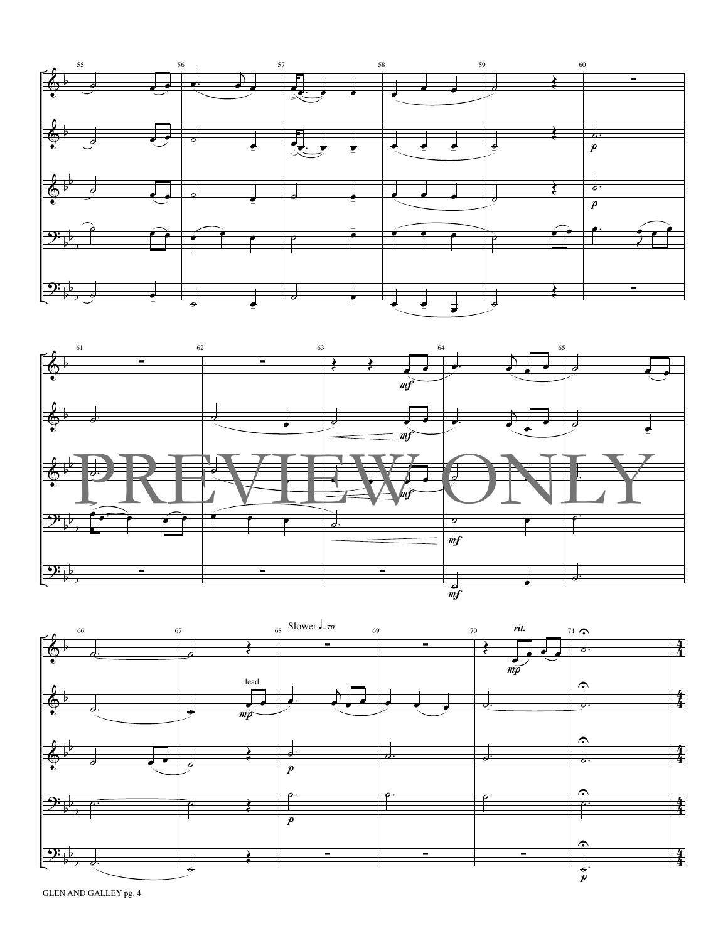



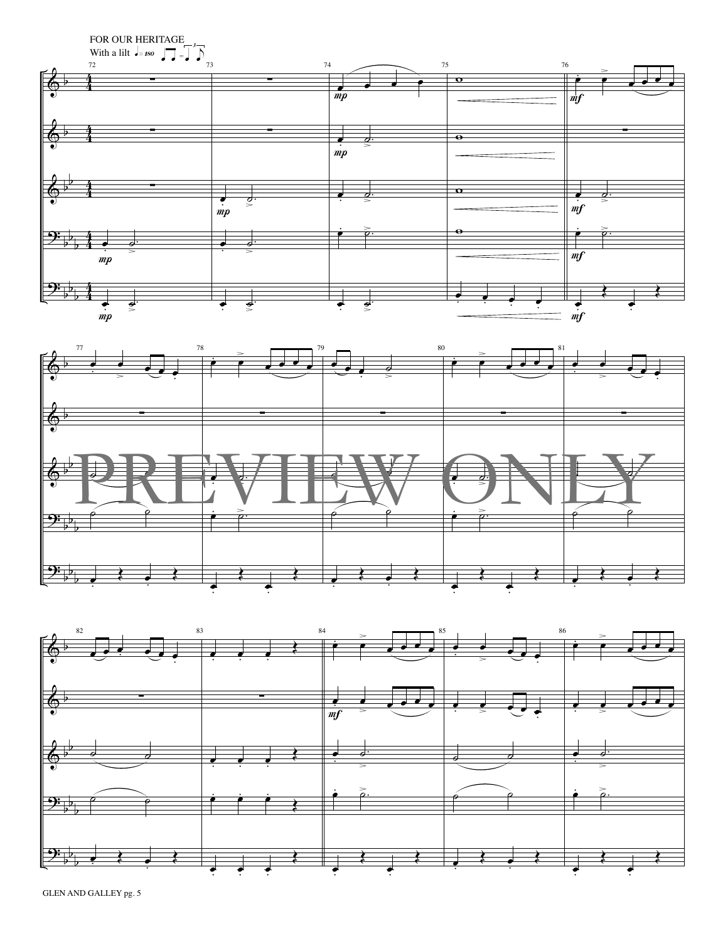

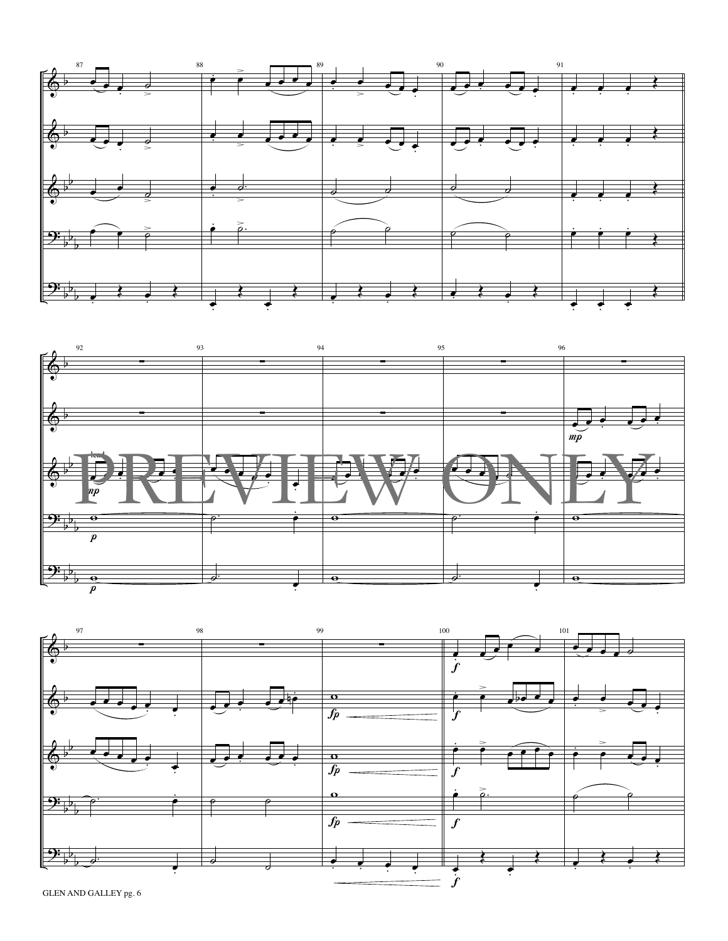